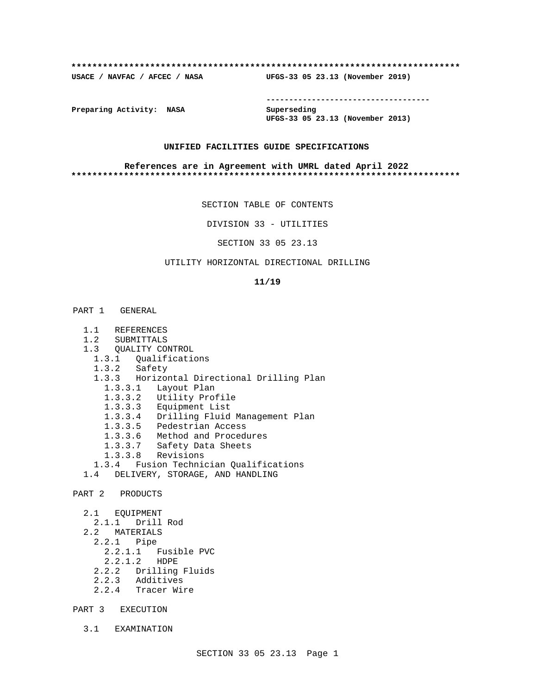#### **\*\*\*\*\*\*\*\*\*\*\*\*\*\*\*\*\*\*\*\*\*\*\*\*\*\*\*\*\*\*\*\*\*\*\*\*\*\*\*\*\*\*\*\*\*\*\*\*\*\*\*\*\*\*\*\*\*\*\*\*\*\*\*\*\*\*\*\*\*\*\*\*\*\***

**USACE / NAVFAC / AFCEC / NASA UFGS-33 05 23.13 (November 2019)**

**------------------------------------**

**Preparing Activity: NASA Superseding**

**UFGS-33 05 23.13 (November 2013)**

#### **UNIFIED FACILITIES GUIDE SPECIFICATIONS**

#### **References are in Agreement with UMRL dated April 2022 \*\*\*\*\*\*\*\*\*\*\*\*\*\*\*\*\*\*\*\*\*\*\*\*\*\*\*\*\*\*\*\*\*\*\*\*\*\*\*\*\*\*\*\*\*\*\*\*\*\*\*\*\*\*\*\*\*\*\*\*\*\*\*\*\*\*\*\*\*\*\*\*\*\***

SECTION TABLE OF CONTENTS

DIVISION 33 - UTILITIES

SECTION 33 05 23.13

# UTILITY HORIZONTAL DIRECTIONAL DRILLING

#### **11/19**

- 1.1 REFERENCES
- 1.2 SUBMITTALS
- 1.3 QUALITY CONTROL
- 1.3.1 Qualifications
	- 1.3.2 Safety
	- 1.3.3 Horizontal Directional Drilling Plan
		- 1.3.3.1 Layout Plan
		- 1.3.3.2 Utility Profile
		- 1.3.3.3 Equipment List
		- 1.3.3.4 Drilling Fluid Management Plan
		- 1.3.3.5 Pedestrian Access
		- 1.3.3.6 Method and Procedures
		- 1.3.3.7 Safety Data Sheets
		- 1.3.3.8 Revisions
- 1.3.4 Fusion Technician Qualifications
- 1.4 DELIVERY, STORAGE, AND HANDLING

PART 2 PRODUCTS

- 2.1 EQUIPMENT 2.1.1 Drill Rod 2.2 MATERIALS 2.2.1 Pipe 2.2.1.1 Fusible PVC 2.2.1.2 HDPE 2.2.2 Drilling Fluids
	- 2.2.3 Additives
	- 2.2.4 Tracer Wire
- PART 3 EXECUTION
	- 3.1 EXAMINATION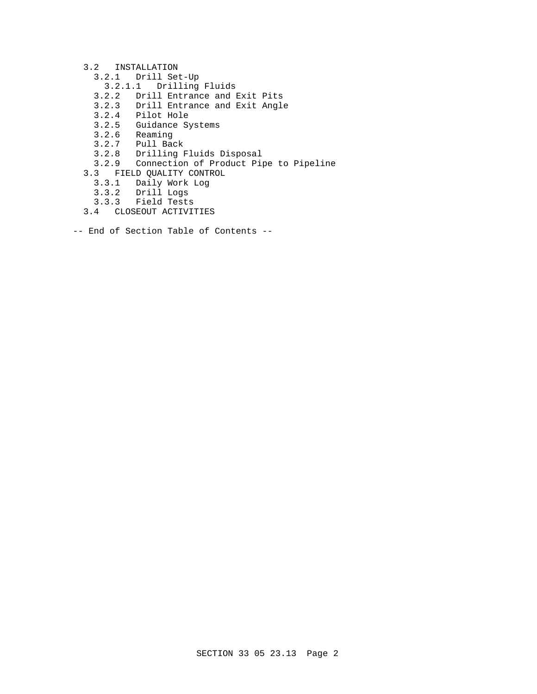#### 3.2 INSTALLATION

- 3.2.1 Drill Set-Up
- 3.2.1.1 Drilling Fluids
- 3.2.2 Drill Entrance and Exit Pits
- 3.2.3 Drill Entrance and Exit Angle
- 3.2.4 Pilot Hole
- 3.2.5 Guidance Systems
	- 3.2.6 Reaming
	- 3.2.7 Pull Back
	- 3.2.8 Drilling Fluids Disposal
	- 3.2.9 Connection of Product Pipe to Pipeline
	- 3.3 FIELD QUALITY CONTROL
		- 3.3.1 Daily Work Log
		- 3.3.2 Drill Logs
		- 3.3.3 Field Tests
	- 3.4 CLOSEOUT ACTIVITIES
- -- End of Section Table of Contents --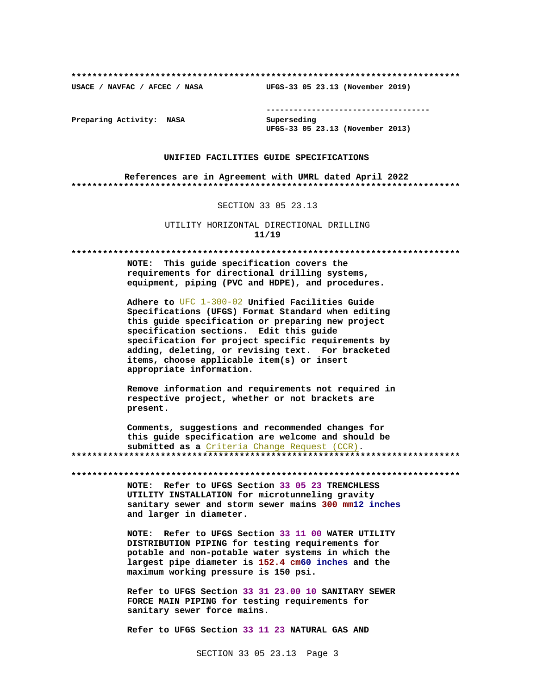USACE / NAVFAC / AFCEC / NASA

--------------------------------------

Preparing Activity: NASA

Superseding UFGS-33 05 23.13 (November 2013)

UFGS-33 05 23.13 (November 2019)

#### UNIFIED FACILITIES GUIDE SPECIFICATIONS

References are in Agreement with UMRL dated April 2022 

SECTION 33 05 23.13

UTILITY HORIZONTAL DIRECTIONAL DRILLING  $11/19$ 

NOTE: This guide specification covers the requirements for directional drilling systems, equipment, piping (PVC and HDPE), and procedures.

Adhere to UFC 1-300-02 Unified Facilities Guide Specifications (UFGS) Format Standard when editing this quide specification or preparing new project specification sections. Edit this guide specification for project specific requirements by adding, deleting, or revising text. For bracketed items, choose applicable item(s) or insert appropriate information.

Remove information and requirements not required in respective project, whether or not brackets are present.

Comments, suggestions and recommended changes for this quide specification are welcome and should be submitted as a Criteria Change Request (CCR). 

NOTE: Refer to UFGS Section 33 05 23 TRENCHLESS UTILITY INSTALLATION for microtunneling gravity sanitary sewer and storm sewer mains 300 mm12 inches and larger in diameter.

NOTE: Refer to UFGS Section 33 11 00 WATER UTILITY DISTRIBUTION PIPING for testing requirements for potable and non-potable water systems in which the largest pipe diameter is 152.4 cm60 inches and the maximum working pressure is 150 psi.

Refer to UFGS Section 33 31 23.00 10 SANITARY SEWER FORCE MAIN PIPING for testing requirements for sanitary sewer force mains.

Refer to UFGS Section 33 11 23 NATURAL GAS AND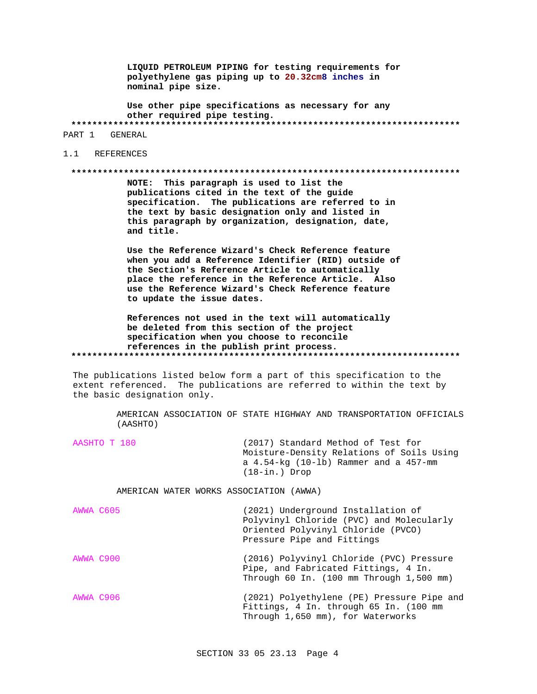LIQUID PETROLEUM PIPING for testing requirements for polyethylene gas piping up to 20.32cm8 inches in nominal pipe size.

Use other pipe specifications as necessary for any other required pipe testing. PART 1 GENERAL

1.1 REFERENCES

#### 

NOTE: This paragraph is used to list the publications cited in the text of the guide specification. The publications are referred to in the text by basic designation only and listed in this paragraph by organization, designation, date, and title.

Use the Reference Wizard's Check Reference feature when you add a Reference Identifier (RID) outside of the Section's Reference Article to automatically place the reference in the Reference Article. Also use the Reference Wizard's Check Reference feature to update the issue dates.

References not used in the text will automatically be deleted from this section of the project specification when you choose to reconcile references in the publish print process. 

The publications listed below form a part of this specification to the extent referenced. The publications are referred to within the text by the basic designation only.

> AMERICAN ASSOCIATION OF STATE HIGHWAY AND TRANSPORTATION OFFICIALS (AASHTO)

| AASHTO T 180 | (2017) Standard Method of Test for          |
|--------------|---------------------------------------------|
|              | Moisture-Density Relations of Soils Using   |
|              | a $4.54$ -kg (10-lb) Rammer and a $457$ -mm |
|              | $(18 - in.)$ Drop                           |

AMERICAN WATER WORKS ASSOCIATION (AWWA)

| AWWA C605 | (2021) Underground Installation of<br>Polyvinyl Chloride (PVC) and Molecularly<br>Oriented Polyvinyl Chloride (PVCO)<br>Pressure Pipe and Fittings |  |  |
|-----------|----------------------------------------------------------------------------------------------------------------------------------------------------|--|--|
| AWWA C900 | (2016) Polyvinyl Chloride (PVC) Pressure<br>Pipe, and Fabricated Fittings, 4 In.<br>Through $60$ In. $(100 \text{ mm Through } 1,500 \text{ mm})$  |  |  |
| AWWA C906 | (2021) Polyethylene (PE) Pressure Pipe and<br>Fittings, 4 In. through 65 In. (100 mm<br>Through 1,650 mm), for Waterworks                          |  |  |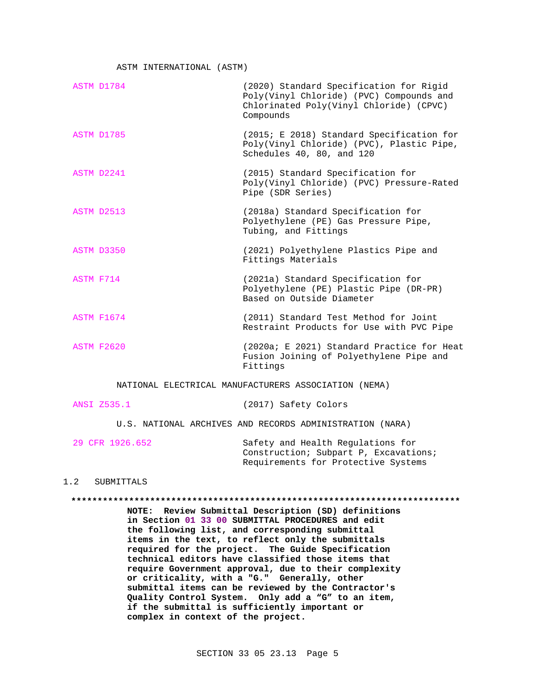ASTM INTERNATIONAL (ASTM)

| ASTM D1784        | (2020) Standard Specification for Rigid<br>Poly(Vinyl Chloride) (PVC) Compounds and<br>Chlorinated Poly(Vinyl Chloride) (CPVC)<br>Compounds |
|-------------------|---------------------------------------------------------------------------------------------------------------------------------------------|
| ASTM D1785        | (2015; E 2018) Standard Specification for<br>Poly(Vinyl Chloride) (PVC), Plastic Pipe,<br>Schedules 40, 80, and 120                         |
| ASTM D2241        | (2015) Standard Specification for<br>Poly(Vinyl Chloride) (PVC) Pressure-Rated<br>Pipe (SDR Series)                                         |
| ASTM D2513        | (2018a) Standard Specification for<br>Polyethylene (PE) Gas Pressure Pipe,<br>Tubing, and Fittings                                          |
| <b>ASTM D3350</b> | (2021) Polyethylene Plastics Pipe and<br>Fittings Materials                                                                                 |
| ASTM F714         | (2021a) Standard Specification for<br>Polyethylene (PE) Plastic Pipe (DR-PR)<br>Based on Outside Diameter                                   |
| <b>ASTM F1674</b> | (2011) Standard Test Method for Joint<br>Restraint Products for Use with PVC Pipe                                                           |
| <b>ASTM F2620</b> | (2020a; E 2021) Standard Practice for Heat<br>Fusion Joining of Polyethylene Pipe and<br>Fittings                                           |

NATIONAL ELECTRICAL MANUFACTURERS ASSOCIATION (NEMA)

|  | ANSI 2535.1 | (2017) Safety Colors |  |
|--|-------------|----------------------|--|
|--|-------------|----------------------|--|

U.S. NATIONAL ARCHIVES AND RECORDS ADMINISTRATION (NARA)

29 CFR 1926.652 Safety and Health Regulations for Construction; Subpart P, Excavations; Requirements for Protective Systems

# 1.2 SUBMITTALS

#### **\*\*\*\*\*\*\*\*\*\*\*\*\*\*\*\*\*\*\*\*\*\*\*\*\*\*\*\*\*\*\*\*\*\*\*\*\*\*\*\*\*\*\*\*\*\*\*\*\*\*\*\*\*\*\*\*\*\*\*\*\*\*\*\*\*\*\*\*\*\*\*\*\*\***

**NOTE: Review Submittal Description (SD) definitions in Section 01 33 00 SUBMITTAL PROCEDURES and edit the following list, and corresponding submittal items in the text, to reflect only the submittals required for the project. The Guide Specification technical editors have classified those items that require Government approval, due to their complexity or criticality, with a "G." Generally, other submittal items can be reviewed by the Contractor's Quality Control System. Only add a "G" to an item, if the submittal is sufficiently important or complex in context of the project.**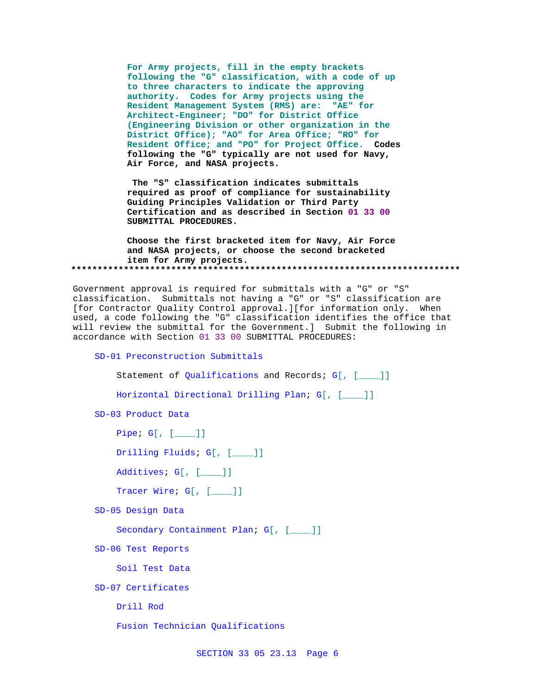**For Army projects, fill in the empty brackets following the "G" classification, with a code of up to three characters to indicate the approving authority. Codes for Army projects using the Resident Management System (RMS) are: "AE" for Architect-Engineer; "DO" for District Office (Engineering Division or other organization in the District Office); "AO" for Area Office; "RO" for Resident Office; and "PO" for Project Office. Codes following the "G" typically are not used for Navy, Air Force, and NASA projects.**

**The "S" classification indicates submittals required as proof of compliance for sustainability Guiding Principles Validation or Third Party Certification and as described in Section 01 33 00 SUBMITTAL PROCEDURES.**

**Choose the first bracketed item for Navy, Air Force and NASA projects, or choose the second bracketed item for Army projects. \*\*\*\*\*\*\*\*\*\*\*\*\*\*\*\*\*\*\*\*\*\*\*\*\*\*\*\*\*\*\*\*\*\*\*\*\*\*\*\*\*\*\*\*\*\*\*\*\*\*\*\*\*\*\*\*\*\*\*\*\*\*\*\*\*\*\*\*\*\*\*\*\*\***

Government approval is required for submittals with a "G" or "S" classification. Submittals not having a "G" or "S" classification are [for Contractor Quality Control approval.][for information only. When used, a code following the "G" classification identifies the office that will review the submittal for the Government.] Submit the following in accordance with Section 01 33 00 SUBMITTAL PROCEDURES:

SD-01 Preconstruction Submittals

Statement of Qualifications and Records; G[, [\_\_\_]]

Horizontal Directional Drilling Plan; G[, [\_\_\_\_]]

SD-03 Product Data

Pipe; G[, [\_\_\_\_]]

Drilling Fluids; G[, [\_\_\_\_]]

Additives; G[, [\_\_\_\_]]

Tracer Wire; G[, [\_\_\_\_]]

SD-05 Design Data

Secondary Containment Plan; G[, [\_\_\_]]

SD-06 Test Reports

Soil Test Data

SD-07 Certificates

Drill Rod

Fusion Technician Qualifications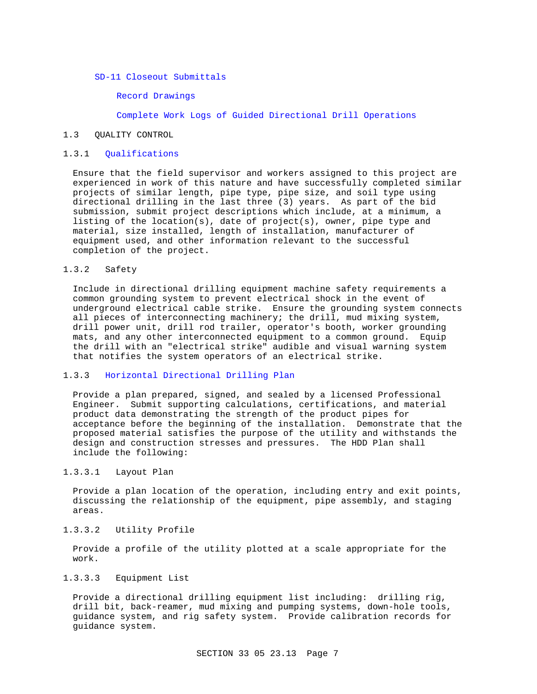SD-11 Closeout Submittals

Record Drawings

Complete Work Logs of Guided Directional Drill Operations

#### 1.3 QUALITY CONTROL

# 1.3.1 Qualifications

Ensure that the field supervisor and workers assigned to this project are experienced in work of this nature and have successfully completed similar projects of similar length, pipe type, pipe size, and soil type using directional drilling in the last three (3) years. As part of the bid submission, submit project descriptions which include, at a minimum, a listing of the location(s), date of project(s), owner, pipe type and material, size installed, length of installation, manufacturer of equipment used, and other information relevant to the successful completion of the project.

# 1.3.2 Safety

Include in directional drilling equipment machine safety requirements a common grounding system to prevent electrical shock in the event of underground electrical cable strike. Ensure the grounding system connects all pieces of interconnecting machinery; the drill, mud mixing system, drill power unit, drill rod trailer, operator's booth, worker grounding mats, and any other interconnected equipment to a common ground. Equip the drill with an "electrical strike" audible and visual warning system that notifies the system operators of an electrical strike.

# 1.3.3 Horizontal Directional Drilling Plan

Provide a plan prepared, signed, and sealed by a licensed Professional Engineer. Submit supporting calculations, certifications, and material product data demonstrating the strength of the product pipes for acceptance before the beginning of the installation. Demonstrate that the proposed material satisfies the purpose of the utility and withstands the design and construction stresses and pressures. The HDD Plan shall include the following:

# 1.3.3.1 Layout Plan

Provide a plan location of the operation, including entry and exit points, discussing the relationship of the equipment, pipe assembly, and staging areas.

## 1.3.3.2 Utility Profile

Provide a profile of the utility plotted at a scale appropriate for the work.

## 1.3.3.3 Equipment List

Provide a directional drilling equipment list including: drilling rig, drill bit, back-reamer, mud mixing and pumping systems, down-hole tools, guidance system, and rig safety system. Provide calibration records for guidance system.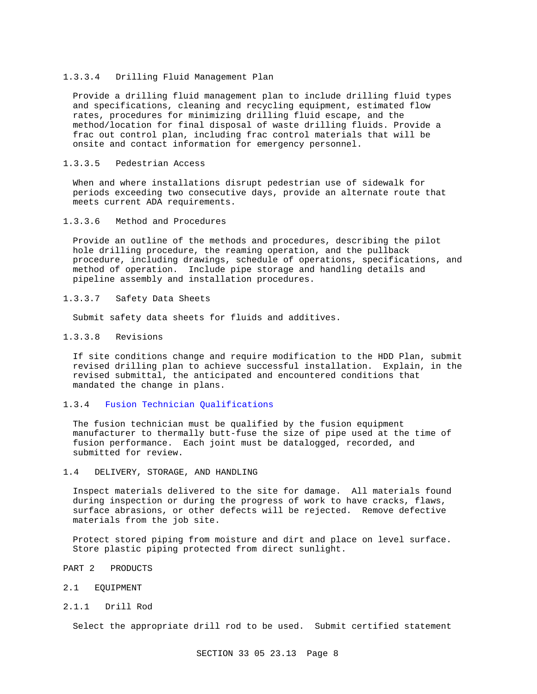#### 1.3.3.4 Drilling Fluid Management Plan

Provide a drilling fluid management plan to include drilling fluid types and specifications, cleaning and recycling equipment, estimated flow rates, procedures for minimizing drilling fluid escape, and the method/location for final disposal of waste drilling fluids. Provide a frac out control plan, including frac control materials that will be onsite and contact information for emergency personnel.

## 1.3.3.5 Pedestrian Access

When and where installations disrupt pedestrian use of sidewalk for periods exceeding two consecutive days, provide an alternate route that meets current ADA requirements.

#### 1.3.3.6 Method and Procedures

Provide an outline of the methods and procedures, describing the pilot hole drilling procedure, the reaming operation, and the pullback procedure, including drawings, schedule of operations, specifications, and method of operation. Include pipe storage and handling details and pipeline assembly and installation procedures.

## 1.3.3.7 Safety Data Sheets

Submit safety data sheets for fluids and additives.

## 1.3.3.8 Revisions

If site conditions change and require modification to the HDD Plan, submit revised drilling plan to achieve successful installation. Explain, in the revised submittal, the anticipated and encountered conditions that mandated the change in plans.

# 1.3.4 Fusion Technician Qualifications

The fusion technician must be qualified by the fusion equipment manufacturer to thermally butt-fuse the size of pipe used at the time of fusion performance. Each joint must be datalogged, recorded, and submitted for review.

#### 1.4 DELIVERY, STORAGE, AND HANDLING

Inspect materials delivered to the site for damage. All materials found during inspection or during the progress of work to have cracks, flaws, surface abrasions, or other defects will be rejected. Remove defective materials from the job site.

Protect stored piping from moisture and dirt and place on level surface. Store plastic piping protected from direct sunlight.

- PART 2 PRODUCTS
- 2.1 EQUIPMENT
- 2.1.1 Drill Rod

Select the appropriate drill rod to be used. Submit certified statement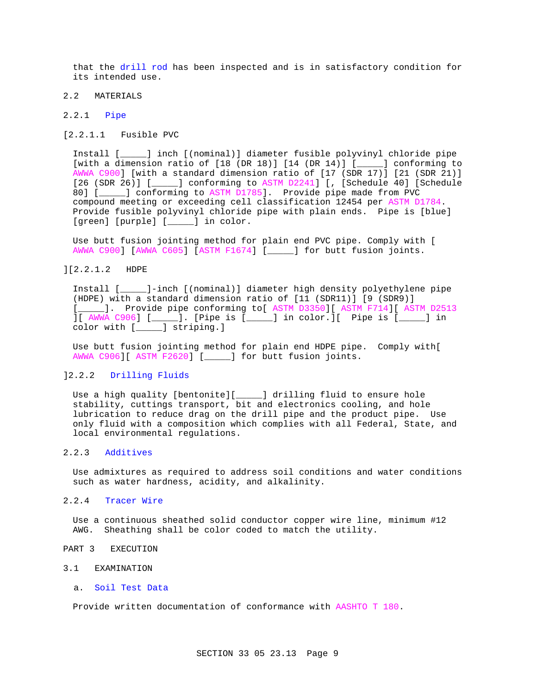that the drill rod has been inspected and is in satisfactory condition for its intended use.

# 2.2 MATERIALS

#### 2.2.1 Pipe

[2.2.1.1 Fusible PVC

Install [\_\_\_\_\_] inch [(nominal)] diameter fusible polyvinyl chloride pipe [with a dimension ratio of  $[18 (DR 18)] [14 (DR 14)] [\underline{\hspace{1cm}}]$  conforming to AWWA C900] [with a standard dimension ratio of [17 (SDR 17)] [21 (SDR 21)] [26 (SDR 26)] [\_\_\_\_\_] conforming to ASTM D2241] [, [Schedule 40] [Schedule 80] [\_\_\_\_\_] conforming to ASTM D1785]. Provide pipe made from PVC compound meeting or exceeding cell classification 12454 per ASTM D1784. Provide fusible polyvinyl chloride pipe with plain ends. Pipe is [blue] [green] [purple] [\_\_\_\_] in color.

Use butt fusion jointing method for plain end PVC pipe. Comply with [ AWWA C900] [AWWA C605] [ASTM F1674] [\_\_\_\_\_] for butt fusion joints.

# ][2.2.1.2 HDPE

Install [\_\_\_\_\_]-inch [(nominal)] diameter high density polyethylene pipe (HDPE) with a standard dimension ratio of [11 (SDR11)] [9 (SDR9)] [\_\_\_\_]. Provide pipe conforming to [ ASTM D3350] [ ASTM F714] [ ASTM D2513 ][ AWWA C906] [\_\_\_\_\_]. [Pipe is [\_\_\_\_\_] in color.][ Pipe is [\_\_\_\_\_] in color with [\_\_\_\_\_] striping.]

Use butt fusion jointing method for plain end HDPE pipe. Comply with[ AWWA C906][ ASTM F2620] [\_\_\_\_\_] for butt fusion joints.

# ]2.2.2 Drilling Fluids

Use a high quality [bentonite][\_\_\_\_\_] drilling fluid to ensure hole stability, cuttings transport, bit and electronics cooling, and hole lubrication to reduce drag on the drill pipe and the product pipe. Use only fluid with a composition which complies with all Federal, State, and local environmental regulations.

# 2.2.3 Additives

Use admixtures as required to address soil conditions and water conditions such as water hardness, acidity, and alkalinity.

#### 2.2.4 Tracer Wire

Use a continuous sheathed solid conductor copper wire line, minimum #12 AWG. Sheathing shall be color coded to match the utility.

- PART 3 EXECUTION
- 3.1 EXAMINATION
	- a. Soil Test Data

Provide written documentation of conformance with AASHTO T 180.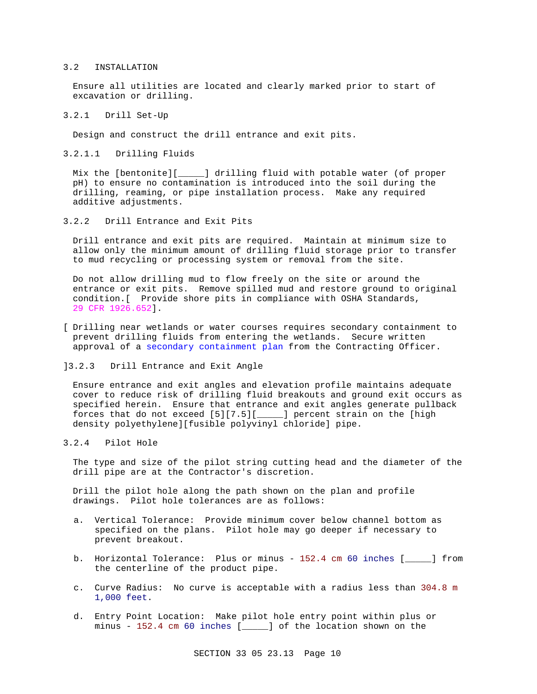#### 3.2 INSTALLATION

Ensure all utilities are located and clearly marked prior to start of excavation or drilling.

3.2.1 Drill Set-Up

Design and construct the drill entrance and exit pits.

3.2.1.1 Drilling Fluids

Mix the [bentonite][\_\_\_\_\_] drilling fluid with potable water (of proper pH) to ensure no contamination is introduced into the soil during the drilling, reaming, or pipe installation process. Make any required additive adjustments.

3.2.2 Drill Entrance and Exit Pits

Drill entrance and exit pits are required. Maintain at minimum size to allow only the minimum amount of drilling fluid storage prior to transfer to mud recycling or processing system or removal from the site.

Do not allow drilling mud to flow freely on the site or around the entrance or exit pits. Remove spilled mud and restore ground to original condition.[ Provide shore pits in compliance with OSHA Standards, 29 CFR 1926.652].

- [ Drilling near wetlands or water courses requires secondary containment to prevent drilling fluids from entering the wetlands. Secure written approval of a secondary containment plan from the Contracting Officer.
- ]3.2.3 Drill Entrance and Exit Angle

Ensure entrance and exit angles and elevation profile maintains adequate cover to reduce risk of drilling fluid breakouts and ground exit occurs as specified herein. Ensure that entrance and exit angles generate pullback forces that do not exceed [5][7.5][\_\_\_\_\_] percent strain on the [high density polyethylene][fusible polyvinyl chloride] pipe.

3.2.4 Pilot Hole

The type and size of the pilot string cutting head and the diameter of the drill pipe are at the Contractor's discretion.

Drill the pilot hole along the path shown on the plan and profile drawings. Pilot hole tolerances are as follows:

- a. Vertical Tolerance: Provide minimum cover below channel bottom as specified on the plans. Pilot hole may go deeper if necessary to prevent breakout.
- b. Horizontal Tolerance: Plus or minus 152.4 cm 60 inches [\_\_\_\_\_] from the centerline of the product pipe.
- c. Curve Radius: No curve is acceptable with a radius less than 304.8 m 1,000 feet.
- d. Entry Point Location: Make pilot hole entry point within plus or minus - 152.4 cm 60 inches [\_\_\_\_\_] of the location shown on the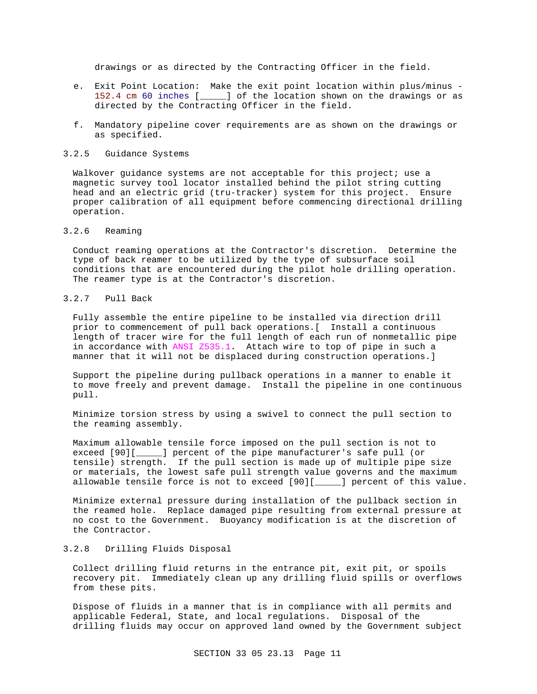drawings or as directed by the Contracting Officer in the field.

- e. Exit Point Location: Make the exit point location within plus/minus 152.4 cm 60 inches [\_\_\_\_\_] of the location shown on the drawings or as directed by the Contracting Officer in the field.
- f. Mandatory pipeline cover requirements are as shown on the drawings or as specified.

#### 3.2.5 Guidance Systems

Walkover guidance systems are not acceptable for this project; use a magnetic survey tool locator installed behind the pilot string cutting head and an electric grid (tru-tracker) system for this project. Ensure proper calibration of all equipment before commencing directional drilling operation.

## 3.2.6 Reaming

Conduct reaming operations at the Contractor's discretion. Determine the type of back reamer to be utilized by the type of subsurface soil conditions that are encountered during the pilot hole drilling operation. The reamer type is at the Contractor's discretion.

# 3.2.7 Pull Back

Fully assemble the entire pipeline to be installed via direction drill prior to commencement of pull back operations.[ Install a continuous length of tracer wire for the full length of each run of nonmetallic pipe in accordance with ANSI Z535.1. Attach wire to top of pipe in such a manner that it will not be displaced during construction operations.]

Support the pipeline during pullback operations in a manner to enable it to move freely and prevent damage. Install the pipeline in one continuous pull.

Minimize torsion stress by using a swivel to connect the pull section to the reaming assembly.

Maximum allowable tensile force imposed on the pull section is not to exceed [90][\_\_\_\_\_] percent of the pipe manufacturer's safe pull (or tensile) strength. If the pull section is made up of multiple pipe size or materials, the lowest safe pull strength value governs and the maximum allowable tensile force is not to exceed [90][\_\_\_\_\_] percent of this value.

Minimize external pressure during installation of the pullback section in the reamed hole. Replace damaged pipe resulting from external pressure at no cost to the Government. Buoyancy modification is at the discretion of the Contractor.

## 3.2.8 Drilling Fluids Disposal

Collect drilling fluid returns in the entrance pit, exit pit, or spoils recovery pit. Immediately clean up any drilling fluid spills or overflows from these pits.

Dispose of fluids in a manner that is in compliance with all permits and applicable Federal, State, and local regulations. Disposal of the drilling fluids may occur on approved land owned by the Government subject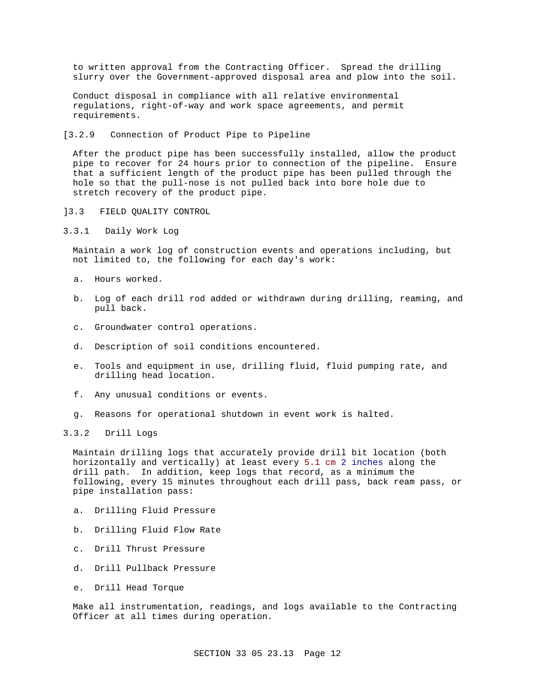to written approval from the Contracting Officer. Spread the drilling slurry over the Government-approved disposal area and plow into the soil.

Conduct disposal in compliance with all relative environmental regulations, right-of-way and work space agreements, and permit requirements.

[3.2.9 Connection of Product Pipe to Pipeline

After the product pipe has been successfully installed, allow the product pipe to recover for 24 hours prior to connection of the pipeline. Ensure that a sufficient length of the product pipe has been pulled through the hole so that the pull-nose is not pulled back into bore hole due to stretch recovery of the product pipe.

- ]3.3 FIELD QUALITY CONTROL
- 3.3.1 Daily Work Log

Maintain a work log of construction events and operations including, but not limited to, the following for each day's work:

- a. Hours worked.
- b. Log of each drill rod added or withdrawn during drilling, reaming, and pull back.
- c. Groundwater control operations.
- d. Description of soil conditions encountered.
- e. Tools and equipment in use, drilling fluid, fluid pumping rate, and drilling head location.
- f. Any unusual conditions or events.
- g. Reasons for operational shutdown in event work is halted.

3.3.2 Drill Logs

Maintain drilling logs that accurately provide drill bit location (both horizontally and vertically) at least every 5.1 cm 2 inches along the drill path. In addition, keep logs that record, as a minimum the following, every 15 minutes throughout each drill pass, back ream pass, or pipe installation pass:

- a. Drilling Fluid Pressure
- b. Drilling Fluid Flow Rate
- c. Drill Thrust Pressure
- d. Drill Pullback Pressure
- e. Drill Head Torque

Make all instrumentation, readings, and logs available to the Contracting Officer at all times during operation.